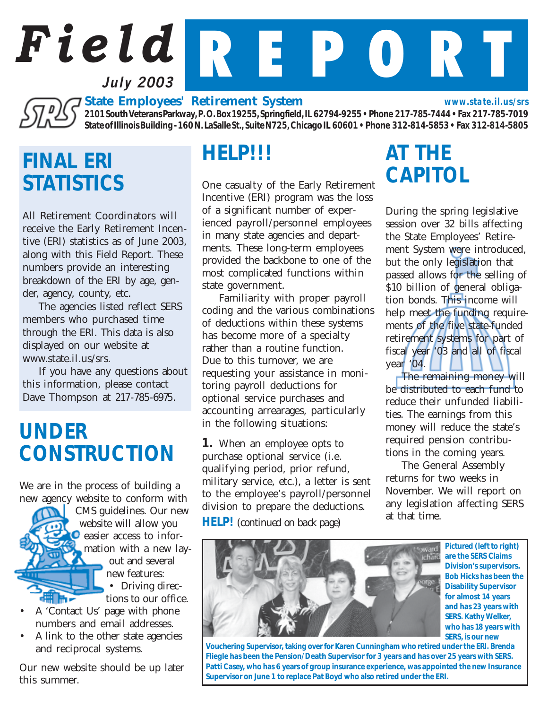# *Field* R E P O R T **July 2003**

**State Employees' Retirement System**<br>
State of Illinois Ruilding 140N 196HL 2010 1975 *2101 South Veterans Parkway, P. O. Box 19255, Springfield, IL 62794-9255 • Phone 217-785-7444 • Fax 217-785-7019 State of Illinois Building - 160 N. LaSalle St., Suite N725, Chicago IL 60601 • Phone 312-814-5853 • Fax 312-814-5805 www.state.il.us/srs*

## *FINAL ERI STATISTICS*

All Retirement Coordinators will receive the Early Retirement Incentive (ERI) statistics as of June 2003, along with this Field Report. These numbers provide an interesting breakdown of the ERI by age, gender, agency, county, etc.

The agencies listed reflect SERS members who purchased time through the ERI. This data is also displayed on our website at www.state.il.us/srs.

If you have any questions about this information, please contact Dave Thompson at 217-785-6975.

## *UNDER CONSTRUCTION*

We are in the process of building a new agency website to conform with

> CMS guidelines. Our new website will allow you **O** easier access to infor-**2** mation with a new lay out and several new features: • Driving direc tions to our office.

- A 'Contact Us' page with phone numbers and email addresses.
- A link to the other state agencies and reciprocal systems.

Our new website should be up later this summer.

### *HELP!!!*

One casualty of the Early Retirement Incentive (ERI) program was the loss of a significant number of experienced payroll/personnel employees in many state agencies and departments. These long-term employees provided the backbone to one of the most complicated functions within state government.

Familiarity with proper payroll coding and the various combinations of deductions within these systems has become more of a specialty rather than a routine function. Due to this turnover, we are requesting your assistance in monitoring payroll deductions for optional service purchases and accounting arrearages, particularly in the following situations:

*1.* When an employee opts to purchase optional service (i.e. qualifying period, prior refund, military service, etc.), a letter is sent to the employee's payroll/personnel division to prepare the deductions.

*HELP! (continued on back page)*

# *AT THE CAPITOL*

During the spring legislative session over 32 bills affecting the State Employees' Retirement System were introduced, but the only legislation that passed allows for the selling of \$10 billion of general obligation bonds. This income will help meet the funding requirements of the five state-funded retirement systems for part of fiscal year '03 and all of fiscal year '04.

The remaining money will be distributed to each fund to reduce their unfunded liabilities. The earnings from this money will reduce the state's required pension contributions in the coming years.

The General Assembly returns for two weeks in November. We will report on any legislation affecting SERS at that time.



*Pictured (left to right) are the SERS Claims Division's supervisors. Bob Hicks has been the Disability Supervisor for almost 14 years and has 23 years with SERS. Kathy Welker, who has 18 years with SERS, is our new*

*Vouchering Supervisor, taking over for Karen Cunningham who retired under the ERI. Brenda Fliegle has been the Pension/Death Supervisor for 3 years and has over 25 years with SERS. Patti Casey, who has 6 years of group insurance experience, was appointed the new Insurance Supervisor on June 1 to replace Pat Boyd who also retired under the ERI.*